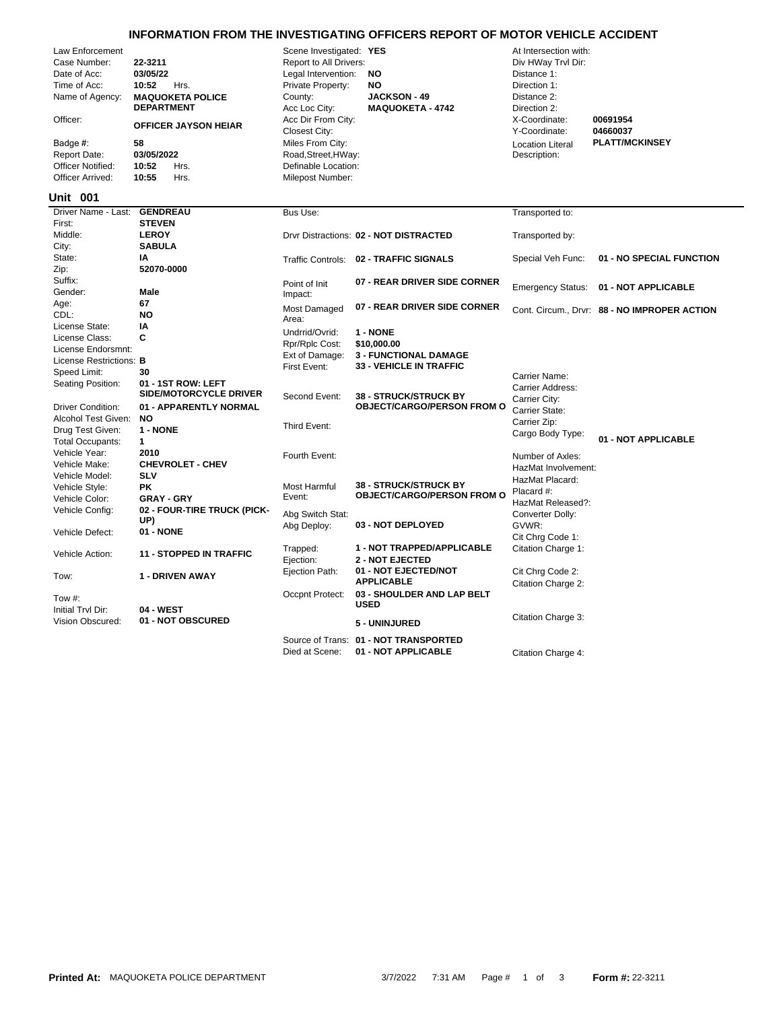## **INFORMATION FROM THE INVESTIGATING OFFICERS REPORT OF MOTOR VEHICLE ACCIDENT**

| Law Enforcement<br>Case Number:<br>Date of Acc:<br>Time of Acc:<br>Name of Agency:<br>Officer:<br>Badge #:<br><b>Report Date:</b><br><b>Officer Notified:</b><br>Officer Arrived: | 22-3211<br>03/05/22<br>10:52<br>Hrs.<br><b>MAQUOKETA POLICE</b><br><b>DEPARTMENT</b><br><b>OFFICER JAYSON HEIAR</b><br>58<br>03/05/2022<br>10:52<br>Hrs.<br>10:55<br>Hrs. | Scene Investigated: YES<br>Report to All Drivers:<br>Legal Intervention:<br>Private Property:<br>County:<br>Acc Loc City:<br>Acc Dir From City:<br>Closest City:<br>Miles From City:<br>Road, Street, HWay:<br>Definable Location:<br>Milepost Number: | <b>NO</b><br>NO<br><b>JACKSON - 49</b><br><b>MAQUOKETA - 4742</b> | At Intersection with:<br>Div HWay Trvl Dir:<br>Distance 1:<br>Direction 1:<br>Distance 2:<br>Direction 2:<br>X-Coordinate:<br>Y-Coordinate:<br><b>Location Literal</b><br>Description: | 00691954<br>04660037<br><b>PLATT/MCKINSEY</b> |
|-----------------------------------------------------------------------------------------------------------------------------------------------------------------------------------|---------------------------------------------------------------------------------------------------------------------------------------------------------------------------|--------------------------------------------------------------------------------------------------------------------------------------------------------------------------------------------------------------------------------------------------------|-------------------------------------------------------------------|----------------------------------------------------------------------------------------------------------------------------------------------------------------------------------------|-----------------------------------------------|
| <b>Unit 001</b>                                                                                                                                                                   |                                                                                                                                                                           |                                                                                                                                                                                                                                                        |                                                                   |                                                                                                                                                                                        |                                               |
| Driver Name - Last:<br>First:                                                                                                                                                     | <b>GENDREAU</b><br><b>STEVEN</b>                                                                                                                                          | Bus Use:                                                                                                                                                                                                                                               |                                                                   | Transported to:                                                                                                                                                                        |                                               |
| Middle:                                                                                                                                                                           | <b>LEROY</b>                                                                                                                                                              |                                                                                                                                                                                                                                                        | Drvr Distractions: 02 - NOT DISTRACTED                            | Transported by:                                                                                                                                                                        |                                               |
| City:                                                                                                                                                                             | <b>SABULA</b>                                                                                                                                                             |                                                                                                                                                                                                                                                        |                                                                   |                                                                                                                                                                                        |                                               |
| State:                                                                                                                                                                            | IA                                                                                                                                                                        |                                                                                                                                                                                                                                                        | Traffic Controls: 02 - TRAFFIC SIGNALS                            | Special Veh Func:                                                                                                                                                                      | 01 - NO SPECIAL FUNCTION                      |
| Zip:                                                                                                                                                                              | 52070-0000                                                                                                                                                                |                                                                                                                                                                                                                                                        |                                                                   |                                                                                                                                                                                        |                                               |
| Suffix:                                                                                                                                                                           |                                                                                                                                                                           | Point of Init                                                                                                                                                                                                                                          | 07 - REAR DRIVER SIDE CORNER                                      | <b>Emergency Status:</b>                                                                                                                                                               | 01 - NOT APPLICABLE                           |
| Gender:                                                                                                                                                                           | Male                                                                                                                                                                      | Impact:                                                                                                                                                                                                                                                |                                                                   |                                                                                                                                                                                        |                                               |
| Age:<br>CDL:                                                                                                                                                                      | 67<br><b>NO</b>                                                                                                                                                           | <b>Most Damaged</b>                                                                                                                                                                                                                                    | 07 - REAR DRIVER SIDE CORNER                                      |                                                                                                                                                                                        | Cont. Circum., Drvr: 88 - NO IMPROPER ACTION  |
| License State:                                                                                                                                                                    | IA                                                                                                                                                                        | Area:                                                                                                                                                                                                                                                  |                                                                   |                                                                                                                                                                                        |                                               |
| License Class:                                                                                                                                                                    | C                                                                                                                                                                         | Undrrid/Ovrid:                                                                                                                                                                                                                                         | 1 - NONE                                                          |                                                                                                                                                                                        |                                               |
| License Endorsmnt:                                                                                                                                                                |                                                                                                                                                                           | Rpr/Rplc Cost:                                                                                                                                                                                                                                         | \$10,000.00                                                       |                                                                                                                                                                                        |                                               |
| License Restrictions: B                                                                                                                                                           |                                                                                                                                                                           | Ext of Damage:<br>First Event:                                                                                                                                                                                                                         | <b>3 - FUNCTIONAL DAMAGE</b><br><b>33 - VEHICLE IN TRAFFIC</b>    |                                                                                                                                                                                        |                                               |
| Speed Limit:                                                                                                                                                                      | 30                                                                                                                                                                        |                                                                                                                                                                                                                                                        |                                                                   | Carrier Name:                                                                                                                                                                          |                                               |
| Seating Position:                                                                                                                                                                 | 01 - 1ST ROW: LEFT<br><b>SIDE/MOTORCYCLE DRIVER</b>                                                                                                                       |                                                                                                                                                                                                                                                        | <b>38 - STRUCK/STRUCK BY</b>                                      | Carrier Address:                                                                                                                                                                       |                                               |
| <b>Driver Condition:</b>                                                                                                                                                          | 01 - APPARENTLY NORMAL                                                                                                                                                    | Second Event:                                                                                                                                                                                                                                          | <b>OBJECT/CARGO/PERSON FROM O</b>                                 | Carrier City:                                                                                                                                                                          |                                               |
| Alcohol Test Given:                                                                                                                                                               | <b>NO</b>                                                                                                                                                                 |                                                                                                                                                                                                                                                        |                                                                   | Carrier State:                                                                                                                                                                         |                                               |
| Drug Test Given:                                                                                                                                                                  | 1 - NONE                                                                                                                                                                  | Third Event:                                                                                                                                                                                                                                           |                                                                   | Carrier Zip:<br>Cargo Body Type:                                                                                                                                                       |                                               |
| <b>Total Occupants:</b>                                                                                                                                                           | 1                                                                                                                                                                         |                                                                                                                                                                                                                                                        |                                                                   |                                                                                                                                                                                        | 01 - NOT APPLICABLE                           |
| Vehicle Year:                                                                                                                                                                     | 2010                                                                                                                                                                      | Fourth Event:                                                                                                                                                                                                                                          |                                                                   | Number of Axles:                                                                                                                                                                       |                                               |
| Vehicle Make:                                                                                                                                                                     | <b>CHEVROLET - CHEV</b>                                                                                                                                                   |                                                                                                                                                                                                                                                        |                                                                   | HazMat Involvement:                                                                                                                                                                    |                                               |
| Vehicle Model:                                                                                                                                                                    | <b>SLV</b>                                                                                                                                                                |                                                                                                                                                                                                                                                        | <b>38 - STRUCK/STRUCK BY</b>                                      | HazMat Placard:                                                                                                                                                                        |                                               |
| Vehicle Style:<br>Vehicle Color:                                                                                                                                                  | <b>PK</b><br><b>GRAY - GRY</b>                                                                                                                                            | Most Harmful<br>Event:                                                                                                                                                                                                                                 | <b>OBJECT/CARGO/PERSON FROM O</b>                                 | Placard #:                                                                                                                                                                             |                                               |
| Vehicle Config:                                                                                                                                                                   | 02 - FOUR-TIRE TRUCK (PICK-                                                                                                                                               |                                                                                                                                                                                                                                                        |                                                                   | HazMat Released?:                                                                                                                                                                      |                                               |
|                                                                                                                                                                                   | UP)                                                                                                                                                                       | Abg Switch Stat:                                                                                                                                                                                                                                       | 03 - NOT DEPLOYED                                                 | Converter Dolly:<br>GVWR:                                                                                                                                                              |                                               |
| Vehicle Defect:                                                                                                                                                                   | 01 - NONE                                                                                                                                                                 | Abg Deploy:                                                                                                                                                                                                                                            |                                                                   | Cit Chrg Code 1:                                                                                                                                                                       |                                               |
| Vehicle Action:                                                                                                                                                                   | <b>11 - STOPPED IN TRAFFIC</b>                                                                                                                                            | Trapped:<br>Ejection:                                                                                                                                                                                                                                  | 1 - NOT TRAPPED/APPLICABLE<br><b>2 - NOT EJECTED</b>              | Citation Charge 1:                                                                                                                                                                     |                                               |
| Tow:                                                                                                                                                                              | 1 - DRIVEN AWAY                                                                                                                                                           | Ejection Path:                                                                                                                                                                                                                                         | 01 - NOT EJECTED/NOT<br><b>APPLICABLE</b>                         | Cit Chrg Code 2:<br>Citation Charge 2:                                                                                                                                                 |                                               |
| Tow #:<br>Initial Trvl Dir:                                                                                                                                                       | 04 - WEST                                                                                                                                                                 | Occpnt Protect:                                                                                                                                                                                                                                        | 03 - SHOULDER AND LAP BELT<br><b>USED</b>                         |                                                                                                                                                                                        |                                               |
| Vision Obscured:                                                                                                                                                                  | 01 - NOT OBSCURED                                                                                                                                                         |                                                                                                                                                                                                                                                        | 5 - UNINJURED                                                     | Citation Charge 3:                                                                                                                                                                     |                                               |
|                                                                                                                                                                                   |                                                                                                                                                                           |                                                                                                                                                                                                                                                        | Source of Trans: 01 - NOT TRANSPORTED                             |                                                                                                                                                                                        |                                               |

Died at Scene: **01 - NOT APPLICABLE** Citation Charge 4: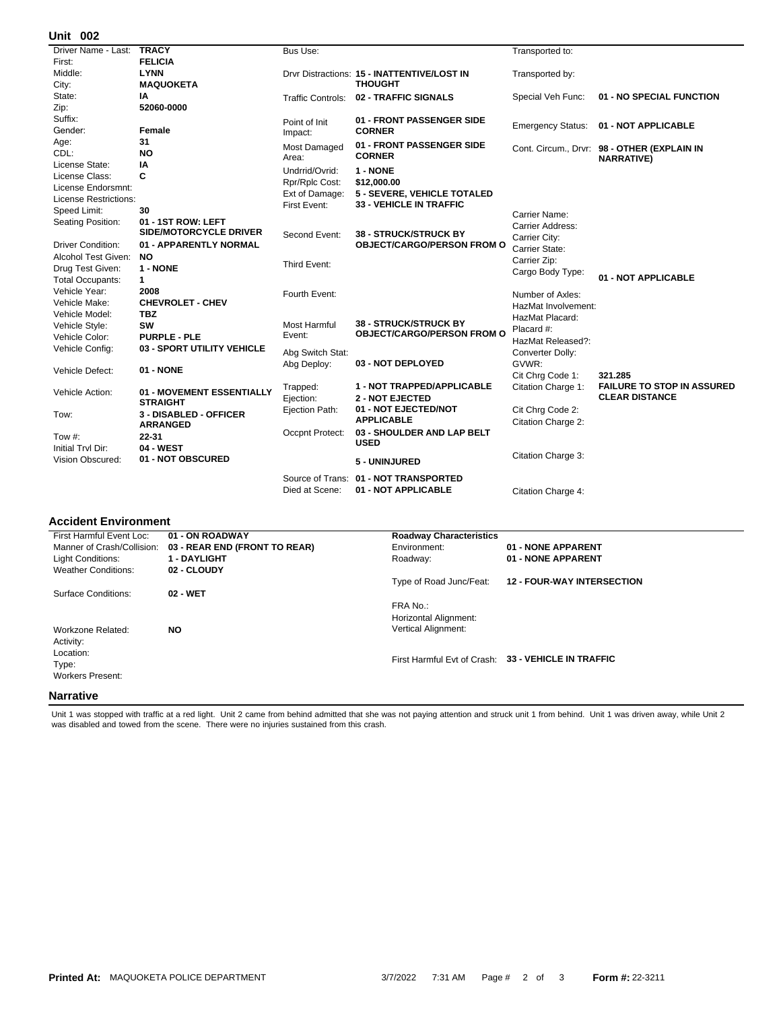## **002 Unit**

| UIIIL VV <del>L</del>    |                                              |                          |                                                                   |                          |                                             |
|--------------------------|----------------------------------------------|--------------------------|-------------------------------------------------------------------|--------------------------|---------------------------------------------|
| Driver Name - Last:      | <b>TRACY</b>                                 | Bus Use:                 |                                                                   | Transported to:          |                                             |
| First:                   | <b>FELICIA</b>                               |                          |                                                                   |                          |                                             |
| Middle:                  | <b>LYNN</b>                                  |                          | Drvr Distractions: 15 - INATTENTIVE/LOST IN                       | Transported by:          |                                             |
| City:                    | <b>MAQUOKETA</b>                             |                          | <b>THOUGHT</b>                                                    |                          |                                             |
| State:                   | ΙA                                           | <b>Traffic Controls:</b> | 02 - TRAFFIC SIGNALS                                              | Special Veh Func:        | 01 - NO SPECIAL FUNCTION                    |
| Zip:                     | 52060-0000                                   |                          |                                                                   |                          |                                             |
| Suffix:                  |                                              | Point of Init            | 01 - FRONT PASSENGER SIDE                                         | <b>Emergency Status:</b> | 01 - NOT APPLICABLE                         |
| Gender:                  | Female                                       | Impact:                  | <b>CORNER</b>                                                     |                          |                                             |
| Age:                     | 31                                           | Most Damaged             | 01 - FRONT PASSENGER SIDE                                         |                          | Cont. Circum., Drvr: 98 - OTHER (EXPLAIN IN |
| CDL:                     | NO                                           | Area:                    | <b>CORNER</b>                                                     |                          | <b>NARRATIVE)</b>                           |
| License State:           | IA                                           | Undrrid/Ovrid:           | 1 - NONE                                                          |                          |                                             |
| License Class:           | C                                            | Rpr/Rplc Cost:           | \$12,000.00                                                       |                          |                                             |
| License Endorsmnt:       |                                              | Ext of Damage:           | 5 - SEVERE, VEHICLE TOTALED                                       |                          |                                             |
| License Restrictions:    |                                              | First Event:             | <b>33 - VEHICLE IN TRAFFIC</b>                                    |                          |                                             |
| Speed Limit:             | 30                                           |                          |                                                                   | Carrier Name:            |                                             |
| Seating Position:        | 01 - 1ST ROW: LEFT                           |                          |                                                                   | Carrier Address:         |                                             |
|                          | <b>SIDE/MOTORCYCLE DRIVER</b>                | Second Event:            | <b>38 - STRUCK/STRUCK BY</b>                                      | Carrier City:            |                                             |
| <b>Driver Condition:</b> | 01 - APPARENTLY NORMAL                       |                          | <b>OBJECT/CARGO/PERSON FROM O</b>                                 | Carrier State:           |                                             |
| Alcohol Test Given:      | <b>NO</b>                                    | Third Event:             |                                                                   | Carrier Zip:             |                                             |
| Drug Test Given:         | 1 - NONE                                     |                          |                                                                   | Cargo Body Type:         |                                             |
| <b>Total Occupants:</b>  | $\mathbf{1}$                                 |                          |                                                                   |                          | 01 - NOT APPLICABLE                         |
| Vehicle Year:            | 2008                                         | Fourth Event:            |                                                                   | Number of Axles:         |                                             |
| Vehicle Make:            | <b>CHEVROLET - CHEV</b>                      |                          |                                                                   | HazMat Involvement:      |                                             |
| Vehicle Model:           | <b>TBZ</b>                                   |                          |                                                                   | HazMat Placard:          |                                             |
| Vehicle Style:           | SW                                           | <b>Most Harmful</b>      | <b>38 - STRUCK/STRUCK BY</b><br><b>OBJECT/CARGO/PERSON FROM O</b> | Placard #:               |                                             |
| Vehicle Color:           | <b>PURPLE - PLE</b>                          | Event:                   |                                                                   | HazMat Released?:        |                                             |
| Vehicle Config:          | 03 - SPORT UTILITY VEHICLE                   | Abg Switch Stat:         |                                                                   | Converter Dolly:         |                                             |
|                          |                                              | Abg Deploy:              | 03 - NOT DEPLOYED                                                 | GVWR:                    |                                             |
| Vehicle Defect:          | 01 - NONE                                    |                          |                                                                   | Cit Chrg Code 1:         | 321.285                                     |
|                          |                                              | Trapped:                 | 1 - NOT TRAPPED/APPLICABLE                                        | Citation Charge 1:       | <b>FAILURE TO STOP IN ASSURED</b>           |
| Vehicle Action:          | 01 - MOVEMENT ESSENTIALLY<br><b>STRAIGHT</b> | Ejection:                | <b>2 - NOT EJECTED</b>                                            |                          | <b>CLEAR DISTANCE</b>                       |
|                          | 3 - DISABLED - OFFICER                       | Ejection Path:           | 01 - NOT EJECTED/NOT                                              | Cit Chrg Code 2:         |                                             |
| Tow:                     | <b>ARRANGED</b>                              |                          | <b>APPLICABLE</b>                                                 | Citation Charge 2:       |                                             |
| Tow $#$ :                | $22 - 31$                                    | Occpnt Protect:          | 03 - SHOULDER AND LAP BELT                                        |                          |                                             |
| Initial Trvl Dir:        | 04 - WEST                                    |                          | <b>USED</b>                                                       |                          |                                             |
| Vision Obscured:         | 01 - NOT OBSCURED                            |                          | 5 - UNINJURED                                                     | Citation Charge 3:       |                                             |
|                          |                                              |                          |                                                                   |                          |                                             |
|                          |                                              | Source of Trans:         | 01 - NOT TRANSPORTED                                              |                          |                                             |
|                          |                                              | Died at Scene:           | 01 - NOT APPLICABLE                                               | Citation Charge 4:       |                                             |
|                          |                                              |                          |                                                                   |                          |                                             |

## **Accident Environment**

| First Harmful Event Loc:   | <b>Roadway Characteristics</b><br>01 - ON ROADWAY |                            |                                                     |
|----------------------------|---------------------------------------------------|----------------------------|-----------------------------------------------------|
| Manner of Crash/Collision: | 03 - REAR END (FRONT TO REAR)                     | Environment:               | 01 - NONE APPARENT                                  |
| Light Conditions:          | <b>1 - DAYLIGHT</b>                               | Roadway:                   | 01 - NONE APPARENT                                  |
| <b>Weather Conditions:</b> | 02 - CLOUDY                                       |                            |                                                     |
|                            |                                                   | Type of Road Junc/Feat:    | <b>12 - FOUR-WAY INTERSECTION</b>                   |
| Surface Conditions:        | 02 - WET                                          |                            |                                                     |
|                            |                                                   | FRA No.:                   |                                                     |
|                            |                                                   | Horizontal Alignment:      |                                                     |
| Workzone Related:          | <b>NO</b>                                         | <b>Vertical Alignment:</b> |                                                     |
| Activity:                  |                                                   |                            |                                                     |
| Location:                  |                                                   |                            |                                                     |
| Type:                      |                                                   |                            | First Harmful Evt of Crash: 33 - VEHICLE IN TRAFFIC |
| <b>Workers Present:</b>    |                                                   |                            |                                                     |
|                            |                                                   |                            |                                                     |
| Narrative                  |                                                   |                            |                                                     |

Unit 1 was stopped with traffic at a red light. Unit 2 came from behind admitted that she was not paying attention and struck unit 1 from behind. Unit 1 was driven away, while Unit 2<br>was disabled and towed from the scene.